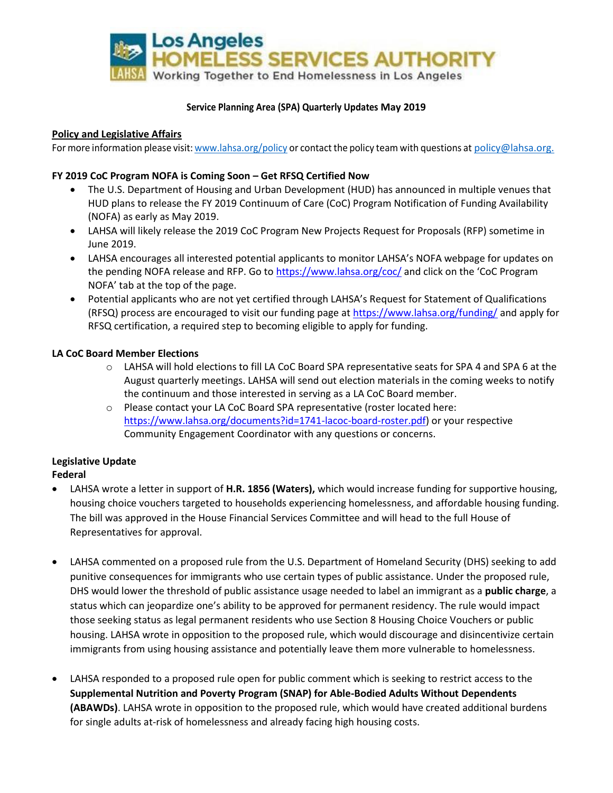

### **Service Planning Area (SPA) Quarterly Updates May 2019**

### **Policy and Legislative Affairs**

For more information please visit: [www.lahsa.org/policy](http://www.lahsa.org/policy) or contact the policy team with questions at [policy@lahsa.org.](mailto:policy@lahsa.org)

### **FY 2019 CoC Program NOFA is Coming Soon – Get RFSQ Certified Now**

- The U.S. Department of Housing and Urban Development (HUD) has announced in multiple venues that HUD plans to release the FY 2019 Continuum of Care (CoC) Program Notification of Funding Availability (NOFA) as early as May 2019.
- LAHSA will likely release the 2019 CoC Program New Projects Request for Proposals (RFP) sometime in June 2019.
- LAHSA encourages all interested potential applicants to monitor LAHSA's NOFA webpage for updates on the pending NOFA release and RFP. Go to<https://www.lahsa.org/coc/> and click on the 'CoC Program NOFA' tab at the top of the page.
- Potential applicants who are not yet certified through LAHSA's Request for Statement of Qualifications (RFSQ) process are encouraged to visit our funding page a[t https://www.lahsa.org/funding/](https://www.lahsa.org/funding/) and apply for RFSQ certification, a required step to becoming eligible to apply for funding.

#### **LA CoC Board Member Elections**

- o LAHSA will hold elections to fill LA CoC Board SPA representative seats for SPA 4 and SPA 6 at the August quarterly meetings. LAHSA will send out election materials in the coming weeks to notify the continuum and those interested in serving as a LA CoC Board member.
- o Please contact your LA CoC Board SPA representative (roster located here: [https://www.lahsa.org/documents?id=1741-lacoc-board-roster.pdf\)](https://www.lahsa.org/documents?id=1741-lacoc-board-roster.pdf) or your respective Community Engagement Coordinator with any questions or concerns.

# **Legislative Update**

**Federal**

- LAHSA wrote a letter in support of **H.R. 1856 (Waters),** which would increase funding for supportive housing, housing choice vouchers targeted to households experiencing homelessness, and affordable housing funding. The bill was approved in the House Financial Services Committee and will head to the full House of Representatives for approval.
- LAHSA commented on a proposed rule from the U.S. Department of Homeland Security (DHS) seeking to add punitive consequences for immigrants who use certain types of public assistance. Under the proposed rule, DHS would lower the threshold of public assistance usage needed to label an immigrant as a **public charge**, a status which can jeopardize one's ability to be approved for permanent residency. The rule would impact those seeking status as legal permanent residents who use Section 8 Housing Choice Vouchers or public housing. LAHSA wrote in opposition to the proposed rule, which would discourage and disincentivize certain immigrants from using housing assistance and potentially leave them more vulnerable to homelessness.
- LAHSA responded to a proposed rule open for public comment which is seeking to restrict access to the **Supplemental Nutrition and Poverty Program (SNAP) for Able-Bodied Adults Without Dependents (ABAWDs)**. LAHSA wrote in opposition to the proposed rule, which would have created additional burdens for single adults at-risk of homelessness and already facing high housing costs.